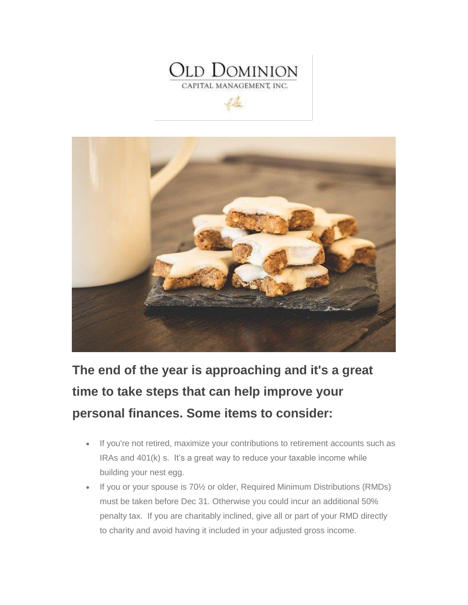

 $46-$ 



**The end of the year is approaching and it's a great time to take steps that can help improve your personal finances. Some items to consider:**

- If you're not retired, maximize your contributions to retirement accounts such as IRAs and 401(k) s. It's a great way to reduce your taxable income while building your nest egg.
- If you or your spouse is 70½ or older, Required Minimum Distributions (RMDs) must be taken before Dec 31. Otherwise you could incur an additional 50% penalty tax. If you are charitably inclined, give all or part of your RMD directly to charity and avoid having it included in your adjusted gross income.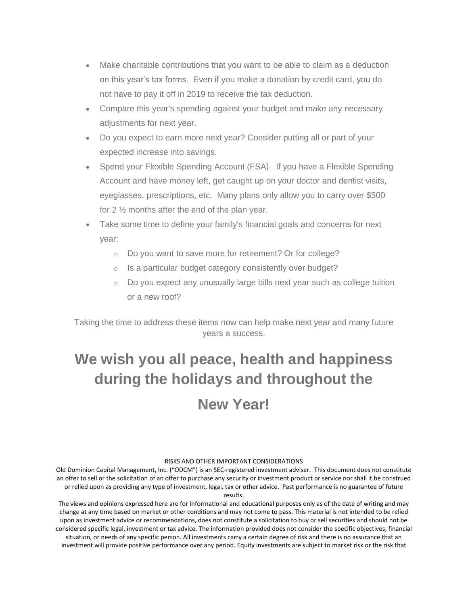- Make charitable contributions that you want to be able to claim as a deduction on this year's tax forms. Even if you make a donation by credit card, you do not have to pay it off in 2019 to receive the tax deduction.
- Compare this year's spending against your budget and make any necessary adjustments for next year.
- Do you expect to earn more next year? Consider putting all or part of your expected increase into savings.
- Spend your Flexible Spending Account (FSA). If you have a Flexible Spending Account and have money left, get caught up on your doctor and dentist visits, eyeglasses, prescriptions, etc. Many plans only allow you to carry over \$500 for 2 ½ months after the end of the plan year.
- Take some time to define your family's financial goals and concerns for next year:
	- o Do you want to save more for retirement? Or for college?
	- o Is a particular budget category consistently over budget?
	- o Do you expect any unusually large bills next year such as college tuition or a new roof?

Taking the time to address these items now can help make next year and many future years a success.

## **We wish you all peace, health and happiness during the holidays and throughout the New Year!**

## RISKS AND OTHER IMPORTANT CONSIDERATIONS

Old Dominion Capital Management, Inc. ("ODCM") is an SEC-registered investment adviser. This document does not constitute an offer to sell or the solicitation of an offer to purchase any security or investment product or service nor shall it be construed or relied upon as providing any type of investment, legal, tax or other advice. Past performance is no guarantee of future results.

The views and opinions expressed here are for informational and educational purposes only as of the date of writing and may change at any time based on market or other conditions and may not come to pass. This material is not intended to be relied upon as investment advice or recommendations, does not constitute a solicitation to buy or sell securities and should not be considered specific legal, investment or tax advice. The information provided does not consider the specific objectives, financial situation, or needs of any specific person. All investments carry a certain degree of risk and there is no assurance that an investment will provide positive performance over any period. Equity investments are subject to market risk or the risk that